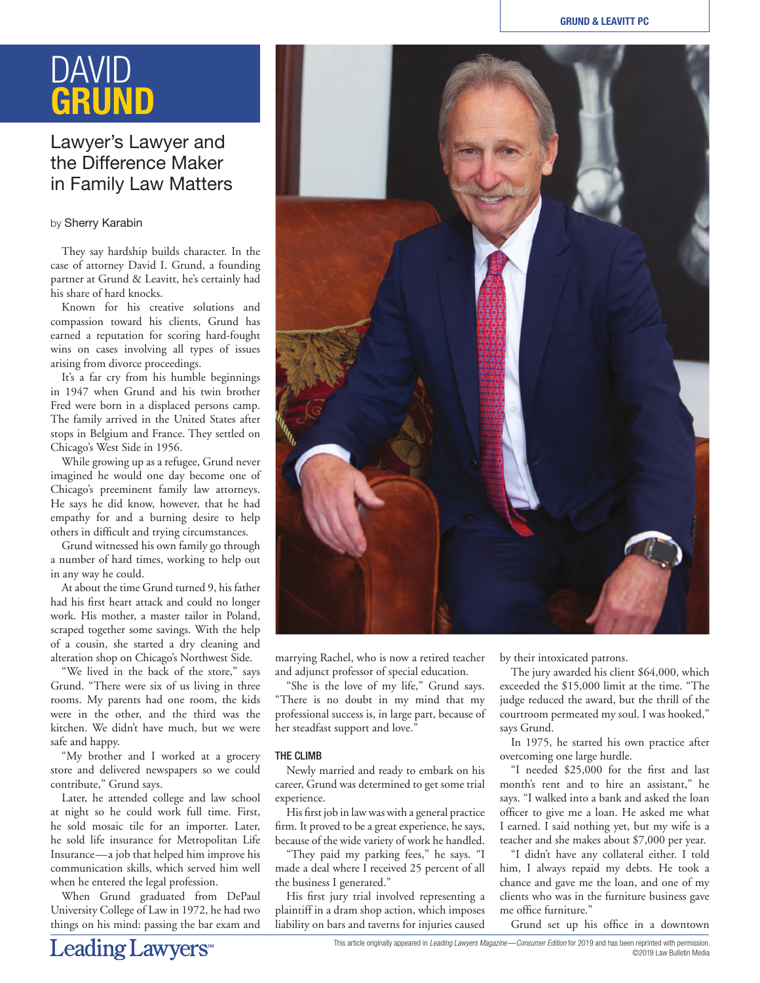# DAVID **GRUND**

# Lawyer's Lawyer and the Difference Maker in Family Law Matters

# by Sherry Karabin

They say hardship builds character. In the case of attorney David I. Grund, a founding partner at Grund & Leavitt, he's certainly had his share of hard knocks.

Known for his creative solutions and compassion toward his clients, Grund has earned a reputation for scoring hard-fought wins on cases involving all types of issues arising from divorce proceedings.

It's a far cry from his humble beginnings in 1947 when Grund and his twin brother Fred were born in a displaced persons camp. The family arrived in the United States after stops in Belgium and France. They settled on Chicago's West Side in 1956.

While growing up as a refugee, Grund never imagined he would one day become one of Chicago's preeminent family law attorneys. He says he did know, however, that he had empathy for and a burning desire to help others in difficult and trying circumstances.

Grund witnessed his own family go through a number of hard times, working to help out in any way he could.

At about the time Grund turned 9, his father had his first heart attack and could no longer work. His mother, a master tailor in Poland, scraped together some savings. With the help of a cousin, she started a dry cleaning and alteration shop on Chicago's Northwest Side.

"We lived in the back of the store," says Grund. "There were six of us living in three rooms. My parents had one room, the kids were in the other, and the third was the kitchen. We didn't have much, but we were safe and happy.

"My brother and I worked at a grocery store and delivered newspapers so we could contribute," Grund says.

Later, he attended college and law school at night so he could work full time. First, he sold mosaic tile for an importer. Later, he sold life insurance for Metropolitan Life Insurance—a job that helped him improve his communication skills, which served him well when he entered the legal profession.

When Grund graduated from DePaul University College of Law in 1972, he had two things on his mind: passing the bar exam and

marrying Rachel, who is now a retired teacher and adjunct professor of special education.

"She is the love of my life," Grund says. "There is no doubt in my mind that my professional success is, in large part, because of her steadfast support and love."

## THE CLIMB

Newly married and ready to embark on his career, Grund was determined to get some trial experience.

His first job in law was with a general practice firm. It proved to be a great experience, he says, because of the wide variety of work he handled.

"They paid my parking fees," he says. "I made a deal where I received 25 percent of all the business I generated."

His first jury trial involved representing a plaintiff in a dram shop action, which imposes liability on bars and taverns for injuries caused by their intoxicated patrons.

The jury awarded his client \$64,000, which exceeded the \$15,000 limit at the time. "The judge reduced the award, but the thrill of the courtroom permeated my soul. I was hooked," says Grund.

In 1975, he started his own practice after overcoming one large hurdle.

"I needed \$25,000 for the first and last month's rent and to hire an assistant," he says. "I walked into a bank and asked the loan officer to give me a loan. He asked me what I earned. I said nothing yet, but my wife is a teacher and she makes about \$7,000 per year.

"I didn't have any collateral either. I told him, I always repaid my debts. He took a chance and gave me the loan, and one of my clients who was in the furniture business gave me office furniture."

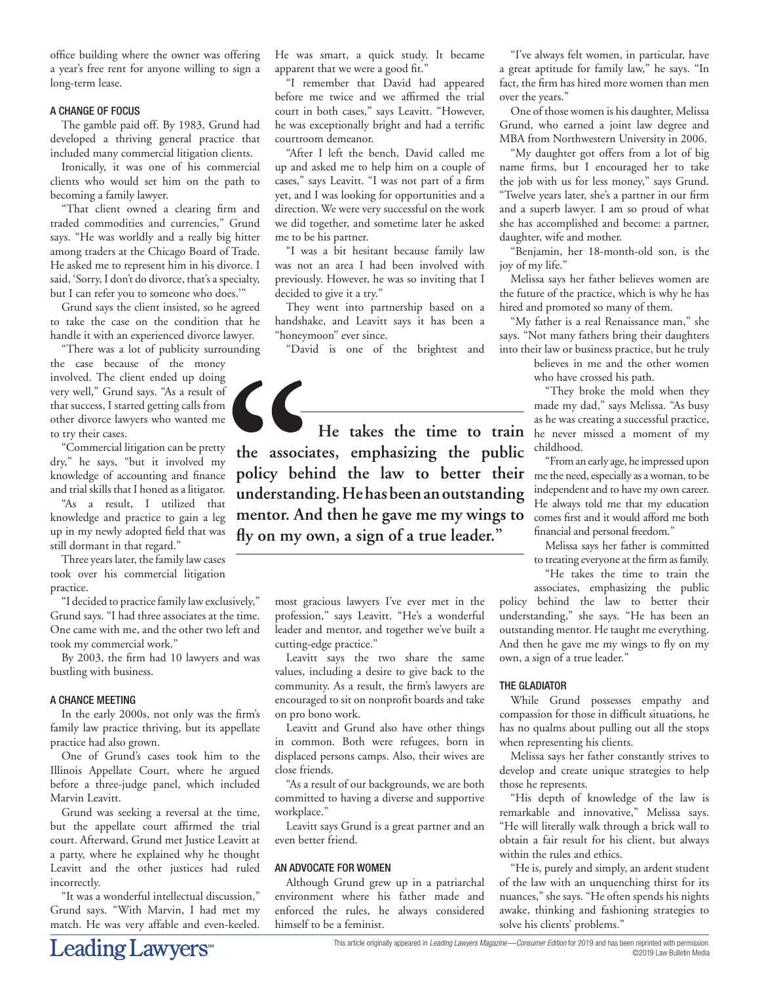office building where the owner was offering a year's free rent for anyone willing to sign a long-term lease.

#### A CHANGE OF FOCUS

The gamble paid off. By 1983, Grund had developed a thriving general practice that included many commercial litigation clients.

Ironically, it was one of his commercial clients who would set him on the path to becoming a family lawyer.

"That client owned a clearing firm and traded commodities and currencies," Grund says. "He was worldly and a really big hitter among traders at the Chicago Board of Trade. He asked me to represent him in his divorce. I said, 'Sorry, I don't do divorce, that's a specialty, but I can refer you to someone who does.'"

Grund says the client insisted, so he agreed to take the case on the condition that he handle it with an experienced divorce lawyer.

"There was a lot of publicity surrounding the case because of the money involved. The client ended up doing very well," Grund says. "As a result of that success, I started getting calls from other divorce lawyers who wanted me to try their cases.

"Commercial litigation can be pretty dry," he says, "but it involved my knowledge of accounting and finance and trial skills that I honed as a litigator.

"As a result, I utilized that knowledge and practice to gain a leg up in my newly adopted field that was still dormant in that regard."

Three years later, the family law cases took over his commercial litigation practice.

"I decided to practice family law exclusively," Grund says. "I had three associates at the time. One came with me, and the other two left and took my commercial work."

By 2003, the firm had 10 lawyers and was bustling with business.

# A CHANCE MEETING

In the early 2000s, not only was the firm's family law practice thriving, but its appellate practice had also grown.

One of Grund's cases took him to the Illinois Appellate Court, where he argued before a three-judge panel, which included Marvin Leavitt.

Grund was seeking a reversal at the time, but the appellate court affirmed the trial court. Afterward, Grund met Justice Leavitt at a party, where he explained why he thought Leavitt and the other justices had ruled incorrectly.

"It was a wonderful intellectual discussion," Grund says. "With Marvin, I had met my match. He was very affable and even-keeled.

He was smart, a quick study. It became apparent that we were a good fit."

"I remember that David had appeared before me twice and we affirmed the trial court in both cases," says Leavitt. "However, he was exceptionally bright and had a terrific courtroom demeanor.

"After I left the bench, David called me up and asked me to help him on a couple of cases," says Leavitt. "I was not part of a firm yet, and I was looking for opportunities and a direction. We were very successful on the work we did together, and sometime later he asked me to be his partner.

"I was a bit hesitant because family law was not an area I had been involved with previously. However, he was so inviting that I decided to give it a try."

They went into partnership based on a handshake, and Leavitt says it has been a "honeymoon" ever since.

"David is one of the brightest and

 $\zeta$ **He takes the time to train the associates, emphasizing the public**  policy behind the law to better their metheneed, especially as a woman, to be **understanding. He has been an outstanding mentor. And then he gave me my wings to fly on my own, a sign of a true leader."**

most gracious lawyers I've ever met in the profession," says Leavitt. "He's a wonderful leader and mentor, and together we've built a cutting-edge practice."

Leavitt says the two share the same values, including a desire to give back to the community. As a result, the firm's lawyers are encouraged to sit on nonprofit boards and take on pro bono work.

Leavitt and Grund also have other things in common. Both were refugees, born in displaced persons camps. Also, their wives are close friends.

"As a result of our backgrounds, we are both committed to having a diverse and supportive workplace."

Leavitt says Grund is a great partner and an even better friend.

#### AN ADVOCATE FOR WOMEN

Although Grund grew up in a patriarchal environment where his father made and enforced the rules, he always considered himself to be a feminist.

"I've always felt women, in particular, have a great aptitude for family law," he says. "In fact, the firm has hired more women than men over the years."

One of those women is his daughter, Melissa Grund, who earned a joint law degree and MBA from Northwestern University in 2006.

"My daughter got offers from a lot of big name firms, but I encouraged her to take the job with us for less money," says Grund. "Twelve years later, she's a partner in our firm and a superb lawyer. I am so proud of what she has accomplished and become: a partner, daughter, wife and mother.

"Benjamin, her 18-month-old son, is the joy of my life."

Melissa says her father believes women are the future of the practice, which is why he has hired and promoted so many of them.

"My father is a real Renaissance man," she says. "Not many fathers bring their daughters into their law or business practice, but he truly

believes in me and the other women who have crossed his path.

"They broke the mold when they made my dad," says Melissa. "As busy as he was creating a successful practice, he never missed a moment of my childhood.

"From an early age, he impressed upon independent and to have my own career. He always told me that my education comes first and it would afford me both financial and personal freedom."

Melissa says her father is committed to treating everyone at the firm as family. "He takes the time to train the

associates, emphasizing the public policy behind the law to better their understanding," she says. "He has been an outstanding mentor. He taught me everything. And then he gave me my wings to fly on my own, a sign of a true leader."

#### THE GLADIATOR

While Grund possesses empathy and compassion for those in difficult situations, he has no qualms about pulling out all the stops when representing his clients.

Melissa says her father constantly strives to develop and create unique strategies to help those he represents.

"His depth of knowledge of the law is remarkable and innovative," Melissa says. "He will literally walk through a brick wall to obtain a fair result for his client, but always within the rules and ethics.

"He is, purely and simply, an ardent student of the law with an unquenching thirst for its nuances," she says. "He often spends his nights awake, thinking and fashioning strategies to solve his clients' problems."

©2019 Law Bulletin Media